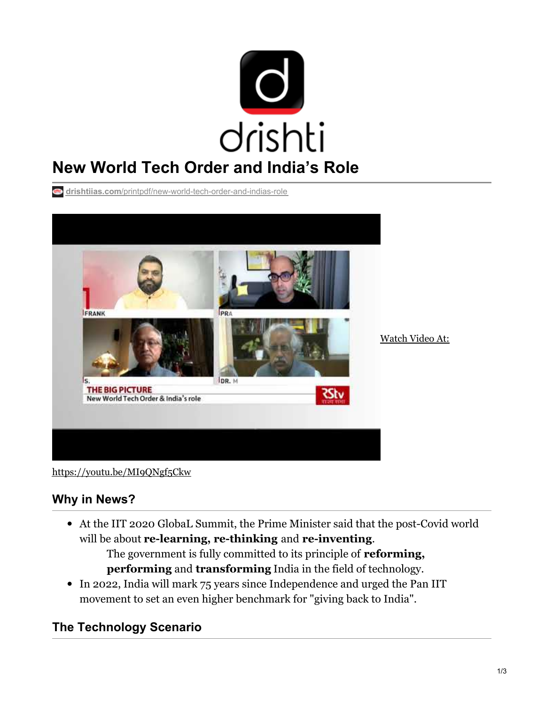

**drishtiias.com**[/printpdf/new-world-tech-order-and-indias-role](https://www.drishtiias.com/printpdf/new-world-tech-order-and-indias-role)



<https://youtu.be/MI9QNgf5Ckw>

# **Why in News?**

At the IIT 2020 GlobaL Summit, the Prime Minister said that the post-Covid world will be about **re-learning, re-thinking** and **re-inventing**. The government is fully committed to its principle of **reforming,**

**performing** and **transforming** India in the field of technology.

• In 2022, India will mark 75 years since Independence and urged the Pan IIT movement to set an even higher benchmark for "giving back to India".

# **The Technology Scenario**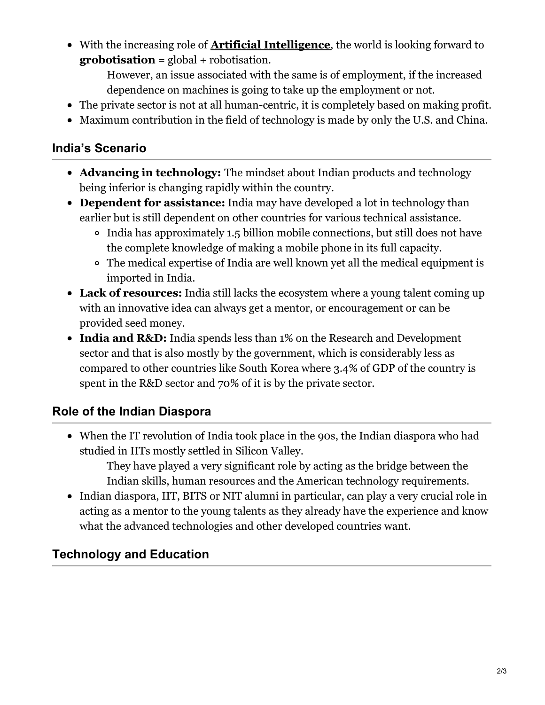With the increasing role of **Artificial [Intelligence](https://www.drishtiias.com/loksabha-rajyasabha-discussions/in-depth-artificial-intelligence)**, the world is looking forward to **grobotisation** = global + robotisation.

However, an issue associated with the same is of employment, if the increased dependence on machines is going to take up the employment or not.

- The private sector is not at all human-centric, it is completely based on making profit.
- Maximum contribution in the field of technology is made by only the U.S. and China.

#### **India's Scenario**

- **Advancing in technology:** The mindset about Indian products and technology being inferior is changing rapidly within the country.
- **Dependent for assistance:** India may have developed a lot in technology than earlier but is still dependent on other countries for various technical assistance.
	- India has approximately 1.5 billion mobile connections, but still does not have the complete knowledge of making a mobile phone in its full capacity.
	- The medical expertise of India are well known yet all the medical equipment is imported in India.
- **Lack of resources:** India still lacks the ecosystem where a young talent coming up with an innovative idea can always get a mentor, or encouragement or can be provided seed money.
- **India and R&D:** India spends less than 1% on the Research and Development sector and that is also mostly by the government, which is considerably less as compared to other countries like South Korea where 3.4% of GDP of the country is spent in the R&D sector and 70% of it is by the private sector.

# **Role of the Indian Diaspora**

When the IT revolution of India took place in the 90s, the Indian diaspora who had studied in IITs mostly settled in Silicon Valley.

They have played a very significant role by acting as the bridge between the Indian skills, human resources and the American technology requirements.

• Indian diaspora, IIT, BITS or NIT alumni in particular, can play a very crucial role in acting as a mentor to the young talents as they already have the experience and know what the advanced technologies and other developed countries want.

# **Technology and Education**